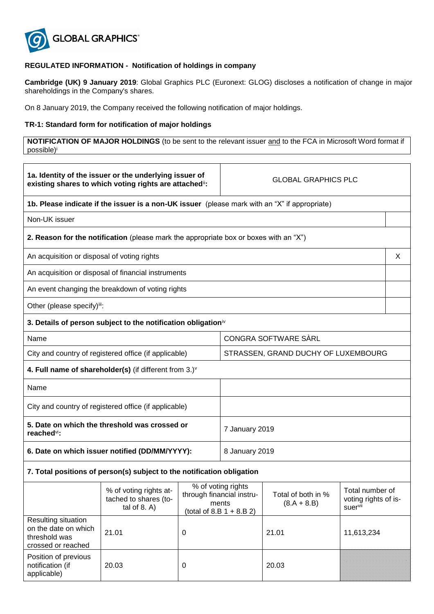

## **REGULATED INFORMATION - Notification of holdings in company**

**Cambridge (UK) 9 January 2019**: Global Graphics PLC (Euronext: GLOG) discloses a notification of change in major shareholdings in the Company's shares.

On 8 January 2019, the Company received the following notification of major holdings.

## **TR-1: Standard form for notification of major holdings**

**NOTIFICATION OF MAJOR HOLDINGS** (to be sent to the relevant issuer and to the FCA in Microsoft Word format if possible)<sup>i</sup>

| 1a. Identity of the issuer or the underlying issuer of<br>existing shares to which voting rights are attached": |                                                                                               |   | <b>GLOBAL GRAPHICS PLC</b>                                                              |                                     |                                                    |   |
|-----------------------------------------------------------------------------------------------------------------|-----------------------------------------------------------------------------------------------|---|-----------------------------------------------------------------------------------------|-------------------------------------|----------------------------------------------------|---|
|                                                                                                                 | 1b. Please indicate if the issuer is a non-UK issuer (please mark with an "X" if appropriate) |   |                                                                                         |                                     |                                                    |   |
| Non-UK issuer                                                                                                   |                                                                                               |   |                                                                                         |                                     |                                                    |   |
|                                                                                                                 | 2. Reason for the notification (please mark the appropriate box or boxes with an "X")         |   |                                                                                         |                                     |                                                    |   |
| An acquisition or disposal of voting rights                                                                     |                                                                                               |   |                                                                                         |                                     |                                                    | X |
|                                                                                                                 | An acquisition or disposal of financial instruments                                           |   |                                                                                         |                                     |                                                    |   |
|                                                                                                                 | An event changing the breakdown of voting rights                                              |   |                                                                                         |                                     |                                                    |   |
| Other (please specify)iii:                                                                                      |                                                                                               |   |                                                                                         |                                     |                                                    |   |
|                                                                                                                 | 3. Details of person subject to the notification obligation <sup>iv</sup>                     |   |                                                                                         |                                     |                                                    |   |
| Name                                                                                                            |                                                                                               |   |                                                                                         | CONGRA SOFTWARE SARL                |                                                    |   |
|                                                                                                                 | City and country of registered office (if applicable)                                         |   | STRASSEN, GRAND DUCHY OF LUXEMBOURG                                                     |                                     |                                                    |   |
|                                                                                                                 | 4. Full name of shareholder(s) (if different from $3.$ ) $\vee$                               |   |                                                                                         |                                     |                                                    |   |
| Name                                                                                                            |                                                                                               |   |                                                                                         |                                     |                                                    |   |
| City and country of registered office (if applicable)                                                           |                                                                                               |   |                                                                                         |                                     |                                                    |   |
| 5. Date on which the threshold was crossed or<br>reached <sup>vi</sup> :                                        |                                                                                               |   | 7 January 2019                                                                          |                                     |                                                    |   |
| 6. Date on which issuer notified (DD/MM/YYYY):                                                                  |                                                                                               |   | 8 January 2019                                                                          |                                     |                                                    |   |
| 7. Total positions of person(s) subject to the notification obligation                                          |                                                                                               |   |                                                                                         |                                     |                                                    |   |
|                                                                                                                 | % of voting rights at-<br>tached to shares (to-<br>tal of $8. A$ )                            |   | % of voting rights<br>through financial instru-<br>ments<br>(total of $8.B 1 + 8.B 2$ ) | Total of both in %<br>$(8.A + 8.B)$ | Total number of<br>voting rights of is-<br>suervii |   |
| Resulting situation<br>on the date on which<br>threshold was<br>crossed or reached                              | 21.01                                                                                         | 0 |                                                                                         | 21.01                               | 11,613,234                                         |   |
| Position of previous<br>notification (if<br>applicable)                                                         | 20.03                                                                                         | 0 |                                                                                         | 20.03                               |                                                    |   |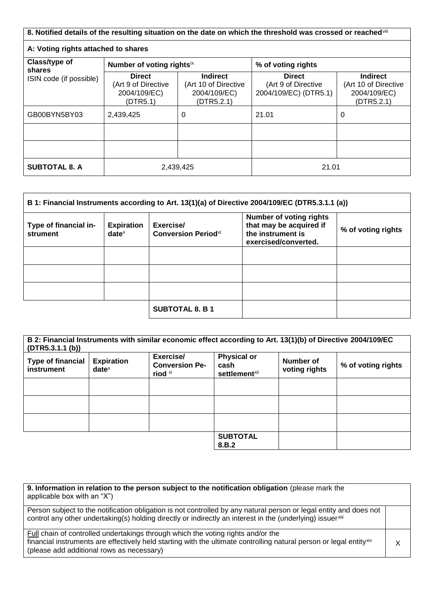| 8. Notified details of the resulting situation on the date on which the threshold was crossed or reached in |                                                                  |                                                                       |                                                               |                                                                       |
|-------------------------------------------------------------------------------------------------------------|------------------------------------------------------------------|-----------------------------------------------------------------------|---------------------------------------------------------------|-----------------------------------------------------------------------|
| A: Voting rights attached to shares                                                                         |                                                                  |                                                                       |                                                               |                                                                       |
| Class/type of<br>shares<br>ISIN code (if possible)                                                          | Number of voting rightsix                                        |                                                                       | % of voting rights                                            |                                                                       |
|                                                                                                             | <b>Direct</b><br>(Art 9 of Directive<br>2004/109/EC)<br>(DTR5.1) | <b>Indirect</b><br>(Art 10 of Directive<br>2004/109/EC)<br>(DTR5.2.1) | <b>Direct</b><br>(Art 9 of Directive<br>2004/109/EC) (DTR5.1) | <b>Indirect</b><br>(Art 10 of Directive<br>2004/109/EC)<br>(DTR5.2.1) |
| GB00BYN5BY03                                                                                                | 2,439,425                                                        | 0                                                                     | 21.01                                                         | 0                                                                     |
|                                                                                                             |                                                                  |                                                                       |                                                               |                                                                       |
|                                                                                                             |                                                                  |                                                                       |                                                               |                                                                       |
| <b>SUBTOTAL 8. A</b>                                                                                        | 2,439,425                                                        |                                                                       | 21.01                                                         |                                                                       |

| B 1: Financial Instruments according to Art. 13(1)(a) of Directive 2004/109/EC (DTR5.3.1.1 (a)) |                               |                                                     |                                                                                                        |                    |
|-------------------------------------------------------------------------------------------------|-------------------------------|-----------------------------------------------------|--------------------------------------------------------------------------------------------------------|--------------------|
| Type of financial in-<br>strument                                                               | <b>Expiration</b><br>$date^x$ | Exercise/<br><b>Conversion Period</b> <sup>xi</sup> | <b>Number of voting rights</b><br>that may be acquired if<br>the instrument is<br>exercised/converted. | % of voting rights |
|                                                                                                 |                               |                                                     |                                                                                                        |                    |
|                                                                                                 |                               |                                                     |                                                                                                        |                    |
|                                                                                                 |                               |                                                     |                                                                                                        |                    |
|                                                                                                 |                               | <b>SUBTOTAL 8. B 1</b>                              |                                                                                                        |                    |

| (DTR5.3.1.1(b))                               |                               | B 2: Financial Instruments with similar economic effect according to Art. 13(1)(b) of Directive 2004/109/EC |                                                         |                            |                    |
|-----------------------------------------------|-------------------------------|-------------------------------------------------------------------------------------------------------------|---------------------------------------------------------|----------------------------|--------------------|
| <b>Type of financial</b><br><b>instrument</b> | <b>Expiration</b><br>$date^x$ | Exercise/<br><b>Conversion Pe-</b><br>riod xi                                                               | <b>Physical or</b><br>cash<br>settlement <sup>xii</sup> | Number of<br>voting rights | % of voting rights |
|                                               |                               |                                                                                                             |                                                         |                            |                    |
|                                               |                               |                                                                                                             |                                                         |                            |                    |
|                                               |                               |                                                                                                             |                                                         |                            |                    |
|                                               |                               |                                                                                                             | <b>SUBTOTAL</b><br>8.B.2                                |                            |                    |

| 9. Information in relation to the person subject to the notification obligation (please mark the<br>applicable box with an "X")                                                                                                                                  |  |
|------------------------------------------------------------------------------------------------------------------------------------------------------------------------------------------------------------------------------------------------------------------|--|
| Person subject to the notification obligation is not controlled by any natural person or legal entity and does not<br>control any other undertaking(s) holding directly or indirectly an interest in the (underlying) issuerxili                                 |  |
| Full chain of controlled undertakings through which the voting rights and/or the<br>financial instruments are effectively held starting with the ultimate controlling natural person or legal entity <sup>xiv</sup><br>(please add additional rows as necessary) |  |